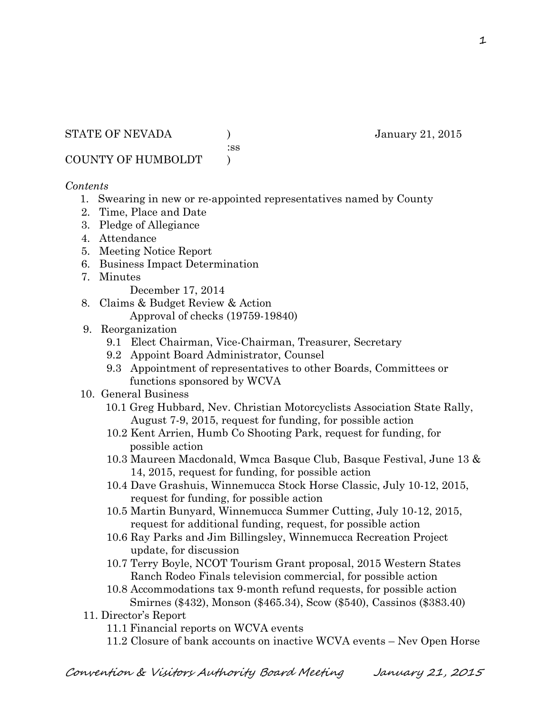STATE OF NEVADA (anuary 21, 2015)

:ss

COUNTY OF HUMBOLDT )

## *Contents*

- 1. Swearing in new or re-appointed representatives named by County
- 2. Time, Place and Date
- 3. Pledge of Allegiance
- 4. Attendance
- 5. Meeting Notice Report
- 6. Business Impact Determination
- 7. Minutes

December 17, 2014

- 8. Claims & Budget Review & Action
	- Approval of checks (19759-19840)
- 9. Reorganization
	- 9.1 Elect Chairman, Vice-Chairman, Treasurer, Secretary
	- 9.2 Appoint Board Administrator, Counsel
	- 9.3 Appointment of representatives to other Boards, Committees or functions sponsored by WCVA
- 10. General Business
	- 10.1 Greg Hubbard, Nev. Christian Motorcyclists Association State Rally, August 7-9, 2015, request for funding, for possible action
	- 10.2 Kent Arrien, Humb Co Shooting Park, request for funding, for possible action
	- 10.3 Maureen Macdonald, Wmca Basque Club, Basque Festival, June 13 & 14, 2015, request for funding, for possible action
	- 10.4 Dave Grashuis, Winnemucca Stock Horse Classic, July 10-12, 2015, request for funding, for possible action
	- 10.5 Martin Bunyard, Winnemucca Summer Cutting, July 10-12, 2015, request for additional funding, request, for possible action
	- 10.6 Ray Parks and Jim Billingsley, Winnemucca Recreation Project update, for discussion
	- 10.7 Terry Boyle, NCOT Tourism Grant proposal, 2015 Western States Ranch Rodeo Finals television commercial, for possible action
	- 10.8 Accommodations tax 9-month refund requests, for possible action Smirnes (\$432), Monson (\$465.34), Scow (\$540), Cassinos (\$383.40)
- 11. Director's Report
	- 11.1 Financial reports on WCVA events
	- 11.2 Closure of bank accounts on inactive WCVA events Nev Open Horse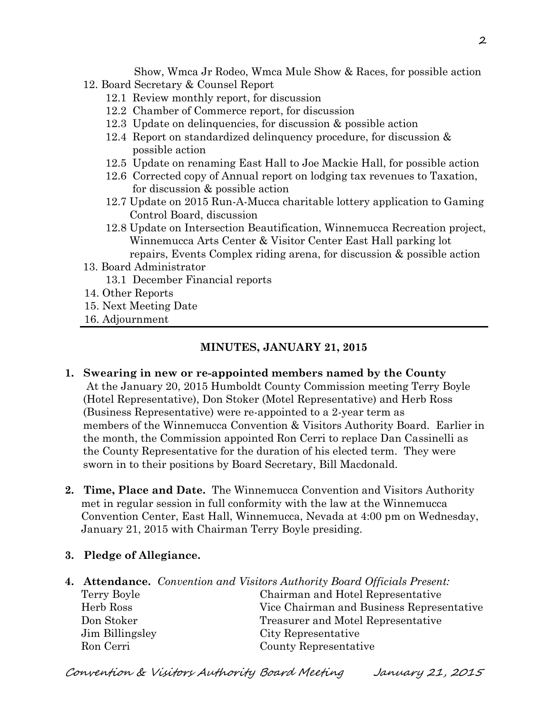Show, Wmca Jr Rodeo, Wmca Mule Show & Races, for possible action 12. Board Secretary & Counsel Report

- 12.1 Review monthly report, for discussion
- 12.2 Chamber of Commerce report, for discussion
- 12.3 Update on delinquencies, for discussion & possible action
- 12.4 Report on standardized delinquency procedure, for discussion & possible action
- 12.5 Update on renaming East Hall to Joe Mackie Hall, for possible action
- 12.6 Corrected copy of Annual report on lodging tax revenues to Taxation, for discussion & possible action
- 12.7 Update on 2015 Run-A-Mucca charitable lottery application to Gaming Control Board, discussion
- 12.8 Update on Intersection Beautification, Winnemucca Recreation project, Winnemucca Arts Center & Visitor Center East Hall parking lot repairs, Events Complex riding arena, for discussion & possible action
- 13. Board Administrator 13.1 December Financial reports
- 14. Other Reports
- 15. Next Meeting Date
- 16. Adjournment

#### **MINUTES, JANUARY 21, 2015**

- **1. Swearing in new or re-appointed members named by the County** At the January 20, 2015 Humboldt County Commission meeting Terry Boyle (Hotel Representative), Don Stoker (Motel Representative) and Herb Ross (Business Representative) were re-appointed to a 2-year term as members of the Winnemucca Convention & Visitors Authority Board. Earlier in the month, the Commission appointed Ron Cerri to replace Dan Cassinelli as the County Representative for the duration of his elected term. They were sworn in to their positions by Board Secretary, Bill Macdonald.
- **2. Time, Place and Date.** The Winnemucca Convention and Visitors Authority met in regular session in full conformity with the law at the Winnemucca Convention Center, East Hall, Winnemucca, Nevada at 4:00 pm on Wednesday, January 21, 2015 with Chairman Terry Boyle presiding.
- **3. Pledge of Allegiance.**
- **4. Attendance.** *Convention and Visitors Authority Board Officials Present:* Terry Boyle Chairman and Hotel Representative Herb Ross Vice Chairman and Business Representative Don Stoker Treasurer and Motel Representative Jim Billingsley City Representative Ron Cerri County Representative

Convention & Visitors Authority Board Meeting January 21, 2015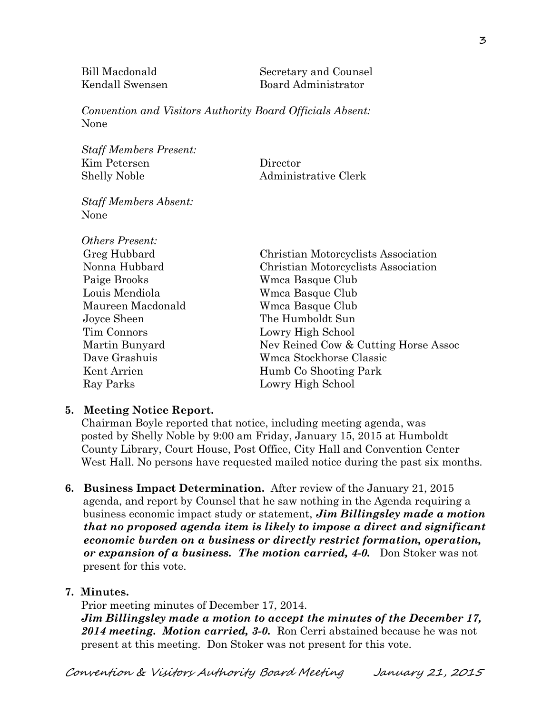Bill Macdonald Secretary and Counsel Kendall Swensen Board Administrator

*Convention and Visitors Authority Board Officials Absent:* None

*Staff Members Present:* Kim Petersen Director Shelly Noble Administrative Clerk

*Staff Members Absent:* None

| <b>Others Present:</b> |                                      |  |
|------------------------|--------------------------------------|--|
| Greg Hubbard           | Christian Motorcyclists Association  |  |
| Nonna Hubbard          | Christian Motorcyclists Association  |  |
| Paige Brooks           | Wmca Basque Club                     |  |
| Louis Mendiola         | Wmca Basque Club                     |  |
| Maureen Macdonald      | Wmca Basque Club                     |  |
| Joyce Sheen            | The Humboldt Sun                     |  |
| Tim Connors            | Lowry High School                    |  |
| Martin Bunyard         | Nev Reined Cow & Cutting Horse Assoc |  |
| Dave Grashuis          | Wmca Stockhorse Classic              |  |
| Kent Arrien            | Humb Co Shooting Park                |  |
| Ray Parks              | Lowry High School                    |  |
|                        |                                      |  |

#### **5. Meeting Notice Report.**

Chairman Boyle reported that notice, including meeting agenda, was posted by Shelly Noble by 9:00 am Friday, January 15, 2015 at Humboldt County Library, Court House, Post Office, City Hall and Convention Center West Hall. No persons have requested mailed notice during the past six months.

**6. Business Impact Determination.** After review of the January 21, 2015 agenda, and report by Counsel that he saw nothing in the Agenda requiring a business economic impact study or statement, *Jim Billingsley made a motion that no proposed agenda item is likely to impose a direct and significant economic burden on a business or directly restrict formation, operation, or expansion of a business. The motion carried, 4-0.* Don Stoker was not present for this vote.

#### **7. Minutes.**

Prior meeting minutes of December 17, 2014. *Jim Billingsley made a motion to accept the minutes of the December 17, 2014 meeting. Motion carried, 3-0.* Ron Cerri abstained because he was not present at this meeting.Don Stoker was not present for this vote.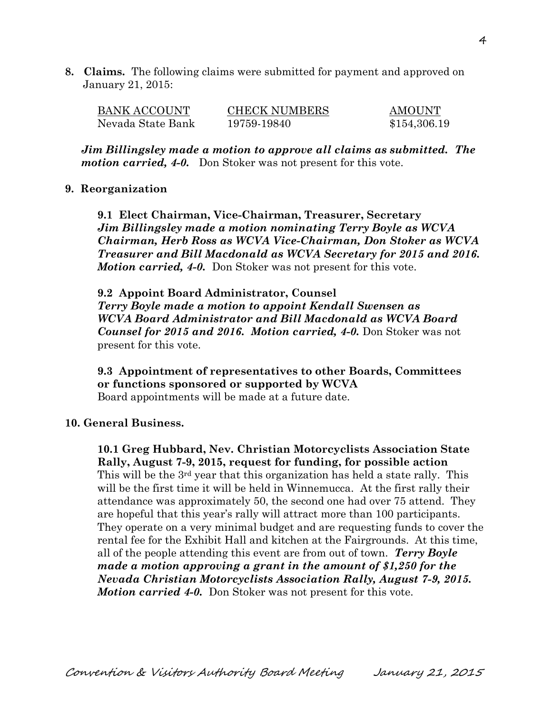**8. Claims.** The following claims were submitted for payment and approved on January 21, 2015:

| BANK ACCOUNT      | <b>CHECK NUMBERS</b> | <b>AMOUNT</b> |
|-------------------|----------------------|---------------|
| Nevada State Bank | 19759-19840          | \$154,306.19  |

*Jim Billingsley made a motion to approve all claims as submitted. The motion carried, 4-0.* Don Stoker was not present for this vote.

#### **9. Reorganization**

**9.1 Elect Chairman, Vice-Chairman, Treasurer, Secretary** *Jim Billingsley made a motion nominating Terry Boyle as WCVA Chairman, Herb Ross as WCVA Vice-Chairman, Don Stoker as WCVA Treasurer and Bill Macdonald as WCVA Secretary for 2015 and 2016. Motion carried, 4-0.* Don Stoker was not present for this vote.

**9.2 Appoint Board Administrator, Counsel** *Terry Boyle made a motion to appoint Kendall Swensen as WCVA Board Administrator and Bill Macdonald as WCVA Board Counsel for 2015 and 2016. Motion carried, 4-0.* Don Stoker was not present for this vote.

**9.3 Appointment of representatives to other Boards, Committees or functions sponsored or supported by WCVA** Board appointments will be made at a future date.

#### **10. General Business.**

**10.1 Greg Hubbard, Nev. Christian Motorcyclists Association State Rally, August 7-9, 2015, request for funding, for possible action** This will be the  $3^{rd}$  year that this organization has held a state rally. This will be the first time it will be held in Winnemucca. At the first rally their attendance was approximately 50, the second one had over 75 attend. They are hopeful that this year's rally will attract more than 100 participants. They operate on a very minimal budget and are requesting funds to cover the rental fee for the Exhibit Hall and kitchen at the Fairgrounds. At this time, all of the people attending this event are from out of town. *Terry Boyle made a motion approving a grant in the amount of \$1,250 for the Nevada Christian Motorcyclists Association Rally, August 7-9, 2015. Motion carried 4-0.* Don Stoker was not present for this vote.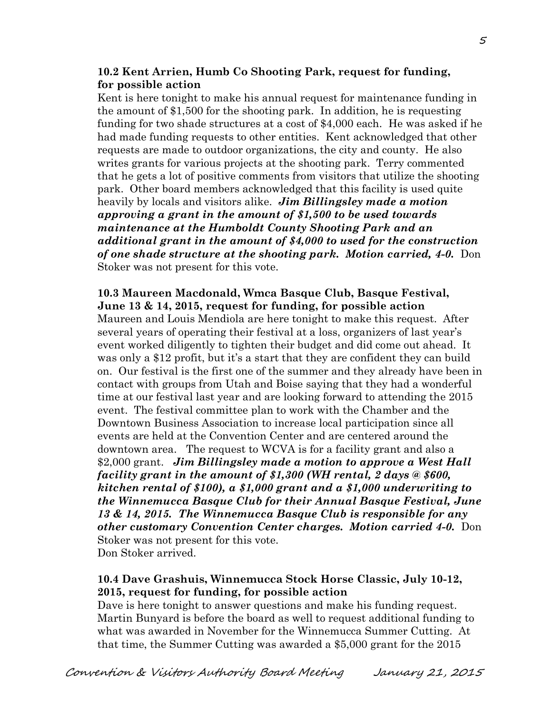#### **10.2 Kent Arrien, Humb Co Shooting Park, request for funding, for possible action**

Kent is here tonight to make his annual request for maintenance funding in the amount of \$1,500 for the shooting park. In addition, he is requesting funding for two shade structures at a cost of \$4,000 each. He was asked if he had made funding requests to other entities. Kent acknowledged that other requests are made to outdoor organizations, the city and county. He also writes grants for various projects at the shooting park. Terry commented that he gets a lot of positive comments from visitors that utilize the shooting park. Other board members acknowledged that this facility is used quite heavily by locals and visitors alike. *Jim Billingsley made a motion approving a grant in the amount of \$1,500 to be used towards maintenance at the Humboldt County Shooting Park and an additional grant in the amount of \$4,000 to used for the construction of one shade structure at the shooting park. Motion carried, 4-0.* Don Stoker was not present for this vote.

#### **10.3 Maureen Macdonald, Wmca Basque Club, Basque Festival, June 13 & 14, 2015, request for funding, for possible action**

Maureen and Louis Mendiola are here tonight to make this request. After several years of operating their festival at a loss, organizers of last year's event worked diligently to tighten their budget and did come out ahead. It was only a \$12 profit, but it's a start that they are confident they can build on. Our festival is the first one of the summer and they already have been in contact with groups from Utah and Boise saying that they had a wonderful time at our festival last year and are looking forward to attending the 2015 event. The festival committee plan to work with the Chamber and the Downtown Business Association to increase local participation since all events are held at the Convention Center and are centered around the downtown area. The request to WCVA is for a facility grant and also a \$2,000 grant. *Jim Billingsley made a motion to approve a West Hall facility grant in the amount of \$1,300 (WH rental, 2 days @ \$600, kitchen rental of \$100), a \$1,000 grant and a \$1,000 underwriting to the Winnemucca Basque Club for their Annual Basque Festival, June 13 & 14, 2015. The Winnemucca Basque Club is responsible for any other customary Convention Center charges. Motion carried 4-0.* Don Stoker was not present for this vote. Don Stoker arrived.

#### **10.4 Dave Grashuis, Winnemucca Stock Horse Classic, July 10-12, 2015, request for funding, for possible action**

Dave is here tonight to answer questions and make his funding request. Martin Bunyard is before the board as well to request additional funding to what was awarded in November for the Winnemucca Summer Cutting. At that time, the Summer Cutting was awarded a \$5,000 grant for the 2015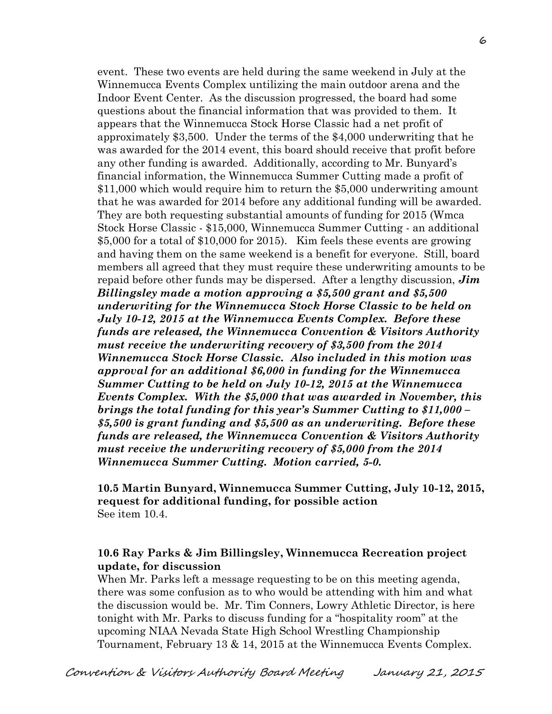event. These two events are held during the same weekend in July at the Winnemucca Events Complex untilizing the main outdoor arena and the Indoor Event Center. As the discussion progressed, the board had some questions about the financial information that was provided to them. It appears that the Winnemucca Stock Horse Classic had a net profit of approximately \$3,500. Under the terms of the \$4,000 underwriting that he was awarded for the 2014 event, this board should receive that profit before any other funding is awarded. Additionally, according to Mr. Bunyard's financial information, the Winnemucca Summer Cutting made a profit of \$11,000 which would require him to return the \$5,000 underwriting amount that he was awarded for 2014 before any additional funding will be awarded. They are both requesting substantial amounts of funding for 2015 (Wmca Stock Horse Classic - \$15,000, Winnemucca Summer Cutting - an additional \$5,000 for a total of \$10,000 for 2015). Kim feels these events are growing and having them on the same weekend is a benefit for everyone. Still, board members all agreed that they must require these underwriting amounts to be repaid before other funds may be dispersed. After a lengthy discussion, *Jim Billingsley made a motion approving a \$5,500 grant and \$5,500 underwriting for the Winnemucca Stock Horse Classic to be held on July 10-12, 2015 at the Winnemucca Events Complex. Before these funds are released, the Winnemucca Convention & Visitors Authority must receive the underwriting recovery of \$3,500 from the 2014 Winnemucca Stock Horse Classic. Also included in this motion was approval for an additional \$6,000 in funding for the Winnemucca Summer Cutting to be held on July 10-12, 2015 at the Winnemucca Events Complex. With the \$5,000 that was awarded in November, this brings the total funding for this year's Summer Cutting to \$11,000 – \$5,500 is grant funding and \$5,500 as an underwriting. Before these funds are released, the Winnemucca Convention & Visitors Authority must receive the underwriting recovery of \$5,000 from the 2014 Winnemucca Summer Cutting. Motion carried, 5-0.* 

**10.5 Martin Bunyard, Winnemucca Summer Cutting, July 10-12, 2015, request for additional funding, for possible action** See item 10.4.

## **10.6 Ray Parks & Jim Billingsley, Winnemucca Recreation project update, for discussion**

When Mr. Parks left a message requesting to be on this meeting agenda, there was some confusion as to who would be attending with him and what the discussion would be. Mr. Tim Conners, Lowry Athletic Director, is here tonight with Mr. Parks to discuss funding for a "hospitality room" at the upcoming NIAA Nevada State High School Wrestling Championship Tournament, February 13 & 14, 2015 at the Winnemucca Events Complex.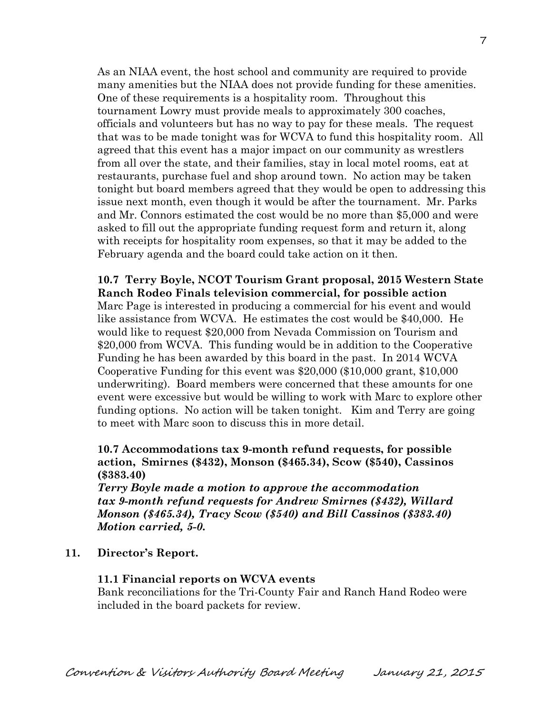As an NIAA event, the host school and community are required to provide many amenities but the NIAA does not provide funding for these amenities. One of these requirements is a hospitality room. Throughout this tournament Lowry must provide meals to approximately 300 coaches, officials and volunteers but has no way to pay for these meals. The request that was to be made tonight was for WCVA to fund this hospitality room. All agreed that this event has a major impact on our community as wrestlers from all over the state, and their families, stay in local motel rooms, eat at restaurants, purchase fuel and shop around town. No action may be taken tonight but board members agreed that they would be open to addressing this issue next month, even though it would be after the tournament. Mr. Parks and Mr. Connors estimated the cost would be no more than \$5,000 and were asked to fill out the appropriate funding request form and return it, along with receipts for hospitality room expenses, so that it may be added to the February agenda and the board could take action on it then.

**10.7 Terry Boyle, NCOT Tourism Grant proposal, 2015 Western State Ranch Rodeo Finals television commercial, for possible action** Marc Page is interested in producing a commercial for his event and would like assistance from WCVA. He estimates the cost would be \$40,000. He would like to request \$20,000 from Nevada Commission on Tourism and \$20,000 from WCVA. This funding would be in addition to the Cooperative Funding he has been awarded by this board in the past. In 2014 WCVA Cooperative Funding for this event was \$20,000 (\$10,000 grant, \$10,000 underwriting). Board members were concerned that these amounts for one event were excessive but would be willing to work with Marc to explore other funding options. No action will be taken tonight. Kim and Terry are going to meet with Marc soon to discuss this in more detail.

### **10.7 Accommodations tax 9-month refund requests, for possible action, Smirnes (\$432), Monson (\$465.34), Scow (\$540), Cassinos (\$383.40)**

*Terry Boyle made a motion to approve the accommodation tax 9-month refund requests for Andrew Smirnes (\$432), Willard Monson (\$465.34), Tracy Scow (\$540) and Bill Cassinos (\$383.40) Motion carried, 5-0.* 

**11. Director's Report.**

#### **11.1 Financial reports on WCVA events**

Bank reconciliations for the Tri-County Fair and Ranch Hand Rodeo were included in the board packets for review.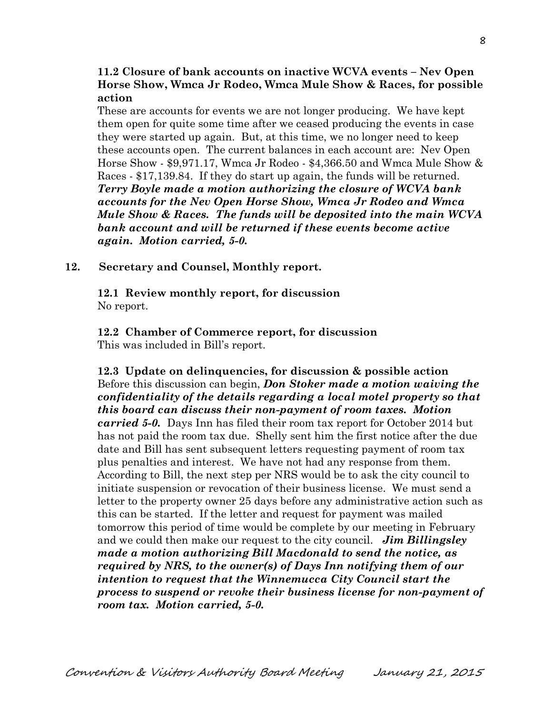#### **11.2 Closure of bank accounts on inactive WCVA events – Nev Open Horse Show, Wmca Jr Rodeo, Wmca Mule Show & Races, for possible action**

These are accounts for events we are not longer producing. We have kept them open for quite some time after we ceased producing the events in case they were started up again. But, at this time, we no longer need to keep these accounts open. The current balances in each account are: Nev Open Horse Show - \$9,971.17, Wmca Jr Rodeo - \$4,366.50 and Wmca Mule Show & Races - \$17,139.84. If they do start up again, the funds will be returned. *Terry Boyle made a motion authorizing the closure of WCVA bank accounts for the Nev Open Horse Show, Wmca Jr Rodeo and Wmca Mule Show & Races. The funds will be deposited into the main WCVA bank account and will be returned if these events become active again. Motion carried, 5-0.* 

#### **12. Secretary and Counsel, Monthly report.**

**12.1 Review monthly report, for discussion** No report.

**12.2 Chamber of Commerce report, for discussion** This was included in Bill's report.

**12.3 Update on delinquencies, for discussion & possible action** Before this discussion can begin, *Don Stoker made a motion waiving the confidentiality of the details regarding a local motel property so that this board can discuss their non-payment of room taxes. Motion carried 5-0.* Days Inn has filed their room tax report for October 2014 but has not paid the room tax due. Shelly sent him the first notice after the due date and Bill has sent subsequent letters requesting payment of room tax plus penalties and interest. We have not had any response from them. According to Bill, the next step per NRS would be to ask the city council to initiate suspension or revocation of their business license. We must send a letter to the property owner 25 days before any administrative action such as this can be started. If the letter and request for payment was mailed tomorrow this period of time would be complete by our meeting in February and we could then make our request to the city council. *Jim Billingsley made a motion authorizing Bill Macdonald to send the notice, as required by NRS, to the owner(s) of Days Inn notifying them of our intention to request that the Winnemucca City Council start the process to suspend or revoke their business license for non-payment of room tax. Motion carried, 5-0.*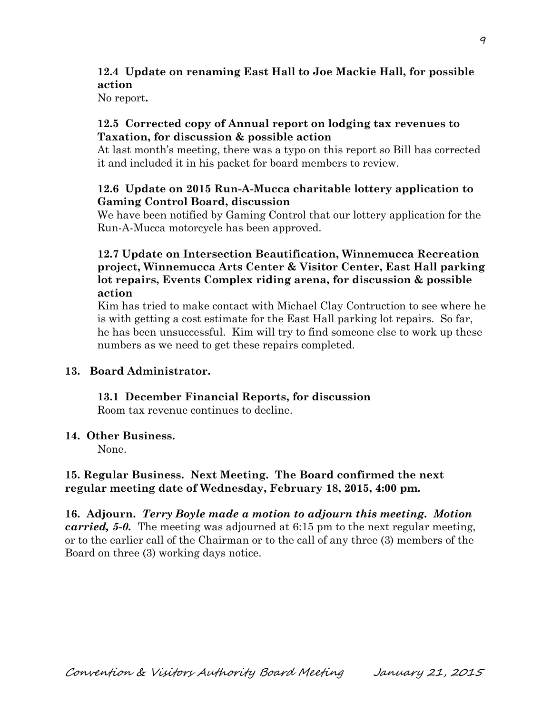# **12.4 Update on renaming East Hall to Joe Mackie Hall, for possible action**

No report**.**

#### **12.5 Corrected copy of Annual report on lodging tax revenues to Taxation, for discussion & possible action**

At last month's meeting, there was a typo on this report so Bill has corrected it and included it in his packet for board members to review.

## **12.6 Update on 2015 Run-A-Mucca charitable lottery application to Gaming Control Board, discussion**

We have been notified by Gaming Control that our lottery application for the Run-A-Mucca motorcycle has been approved.

## **12.7 Update on Intersection Beautification, Winnemucca Recreation project, Winnemucca Arts Center & Visitor Center, East Hall parking lot repairs, Events Complex riding arena, for discussion & possible action**

Kim has tried to make contact with Michael Clay Contruction to see where he is with getting a cost estimate for the East Hall parking lot repairs. So far, he has been unsuccessful. Kim will try to find someone else to work up these numbers as we need to get these repairs completed.

## **13. Board Administrator.**

# **13.1 December Financial Reports, for discussion**

Room tax revenue continues to decline.

#### **14. Other Business.**

None.

## **15. Regular Business. Next Meeting. The Board confirmed the next regular meeting date of Wednesday, February 18, 2015, 4:00 pm.**

**16. Adjourn.** *Terry Boyle made a motion to adjourn this meeting. Motion carried, 5-0.* The meeting was adjourned at 6:15 pm to the next regular meeting, or to the earlier call of the Chairman or to the call of any three (3) members of the Board on three (3) working days notice.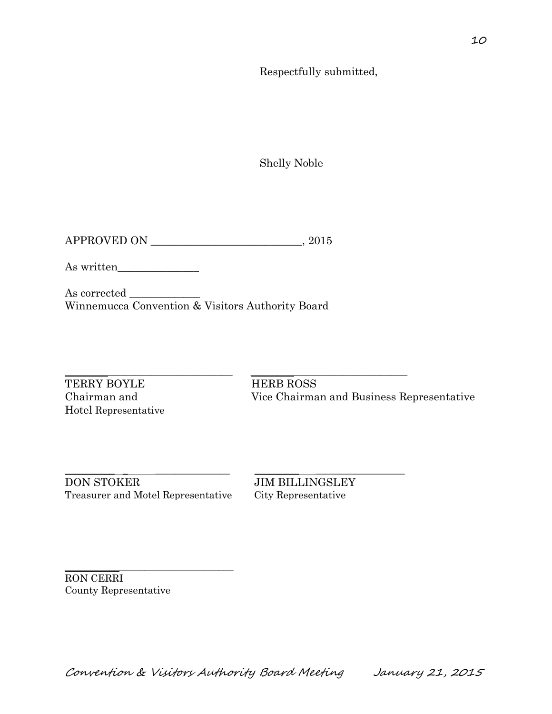Respectfully submitted,

Shelly Noble

APPROVED ON \_\_\_\_\_\_\_\_\_\_\_\_\_\_\_\_\_\_\_\_\_\_\_\_\_\_\_\_, 2015

As written\_\_\_\_\_\_\_\_\_\_\_\_\_\_\_

As corrected \_\_\_\_\_\_\_\_\_\_\_\_\_ Winnemucca Convention & Visitors Authority Board

TERRY BOYLE HERB ROSS Hotel Representative

 $\_$  ,  $\_$  ,  $\_$  ,  $\_$  ,  $\_$  ,  $\_$  ,  $\_$  ,  $\_$  ,  $\_$  ,  $\_$  ,  $\_$  ,  $\_$  ,  $\_$  ,  $\_$  ,  $\_$  ,  $\_$  ,  $\_$  ,  $\_$  ,  $\_$  ,  $\_$  ,  $\_$  ,  $\_$  ,  $\_$  ,  $\_$  ,  $\_$  ,  $\_$  ,  $\_$  ,  $\_$  ,  $\_$  ,  $\_$  ,  $\_$  ,  $\_$  ,  $\_$  ,  $\_$  ,  $\_$  ,  $\_$  ,  $\_$  , Chairman and Vice Chairman and Business Representative

\_\_\_\_\_\_\_\_\_\_ \_ \_\_\_\_\_\_\_\_\_\_\_\_\_\_\_ \_\_\_\_\_\_\_\_\_ \_\_\_\_\_\_\_\_\_\_\_\_\_\_\_\_\_\_ DON STOKER JIM BILLINGSLEY Treasurer and Motel Representative City Representative

\_\_\_\_\_\_\_\_\_\_\_\_\_\_\_\_\_\_\_\_\_\_\_\_\_\_\_\_\_\_\_\_\_\_

RON CERRI County Representative

Convention & Visitors Authority Board Meeting January 21, 2015